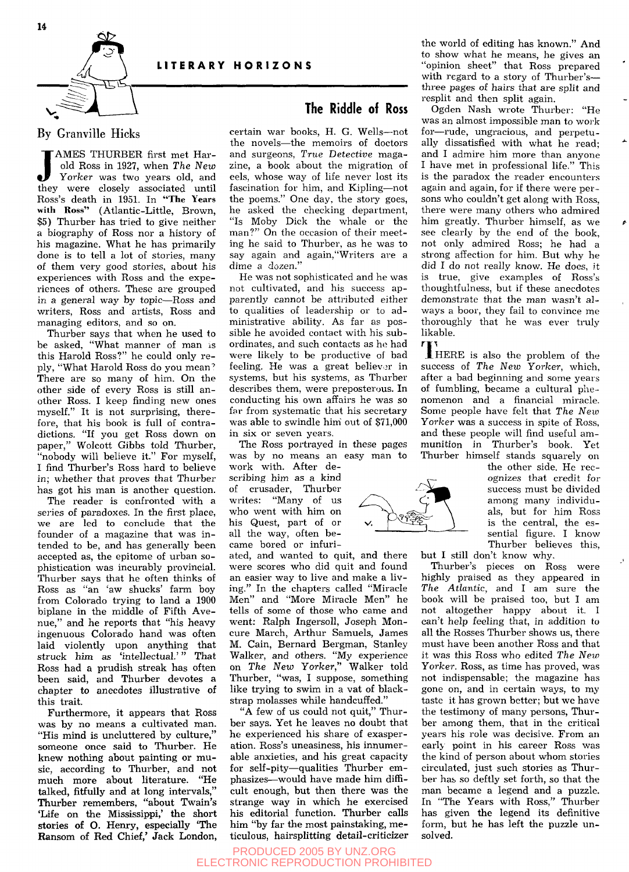



## By Granville Hicks

JAMES THURBER first met Har-<br>old Ross in 1927, when The New<br>Yorker was two years old, and<br>they were closely associated until AMES THURBER first met Harold Ross in 1927, when *The New Yorker* was two years old, and Ross's death in 1951. In "The Years with Ross" (Atlantic-Little, Brown, \$5) Thurber has tried to give neither a biography of Ross nor a history of his magazine. What he has primarily done is to tell a lot of stories, many of them very good stories, about his experiences with Ross and the experiences of others. These are grouped in a general way by topic—Ross and writers, Ross and artists, Ross and managing editors, and so on.

Thurber says that when he used to be asked, "What manner of man is this Harold Ross?" he could only reply, "What Harold Ross do you mean'' There are so many of him. On the other side of every Ross is still another Ross. I keep finding new ones myself." It is not surprising, therefore, that his book is full of contradictions. "If you get Ross down on paper," Wolcott Gibbs told Thurber, "nobody will believe it." For myself, I find Thurber's Ross hard to believe in; whether that proves that Thurber has got his man is another question.

The reader is confronted with a series of paradoxes. In the first place, we are led to conclude that the founder of a magazine that was intended to be, and has generally been accepted as, the epitome of urban sophistication was incurably provincial. Thurber says that he often thinks of Ross as "an 'aw shucks' farm boy from Colorado trying to land a 1900 biplane in the middle of Fifth Avenue," and he reports that "his heavy ingenuous Colorado hand was often laid violently upon anything that struck him as 'intellectual.'" That Ross had a prudish streak has often been said, and Thurber devotes a chapter to anecdotes illustrative of this trait.

Furthermore, it appears that Ross was by no means a cultivated man. "His mind is uncluttered by culture," someone once said to Thurber. He knew nothing about painting or music, according to Thurber, and not much more about literature. "He talked, fitfully and at long intervals," Thurber remembers, "about Twain's 'Life on the Mississippi,' the short stories of O. Henry, especially 'The Ransom of Red Chief,' Jack London,

## **The Riddle of Ross**

certain war books, H. G. Wells—not the novels—the memoirs of doctors and surgeons, *True Detective* magazine, a book about the migration of eels, whose way of life never lost its fascination for him, and Kipling—not the poems." One day, the story goes, he asked the checking department, "Is Moby Dick the whale or the man?" On the occasion of their meeting he said to Thurber, as he was to say again and again,"Writers are a dime a dozen."

He was not sophisticated and he was not cultivated, and his success apparently cannot be attributed either to qualities of leadership or to administrative ability. As far as possible he avoided contact with his subordinates, and such contacts as he had were likely to be productive of bad feeling. He was a great believer in systems, but his systems, as Thurber describes them, were preposterous. In conducting his own affairs he was so far from systematic that his secretary was able to swindle him out of \$71,000 in six or seven years.

The Ross portrayed in these pages was by no means an easy man to

work with. After describing him as a kind of crusader, Thurber writes: "Many of us who went with him on his Quest, part of or all the way, often became bored or infuri-

ated, and wanted to quit, and there were scores who did quit and found an easier way to live and make a living." In the chapters called "Miracle Men" and "More Miracle Men" he tells of some of those who came and went: Ralph Ingersoll, Joseph Moncure March, Arthur Samuels, James M. Cain, Bernard Bergman, Stanley Walker, and others. "My experience on *The New Yorker,"* Walker told Thurber, "was, I suppose, something like trying to swim in a vat of blackstrap molasses while handcuffed."

"A few of us could not quit," Thurber says. Yet he leaves no doubt that he experienced his share of exasperation. Ross's uneasiness, his innumerable anxieties, and his great capacity for self-pity—qualities Thurber emphasizes—would have made him difficult enough, but then there was the strange way in which he exercised his editorial function. Thurber calls him "by far the most painstaking, me ticulous, hairsplitting detail-criticizer

PRODUCED 2005 BY UNZ.ORG ELECTRONIC REPRODUCTION PROHIBITED



the world of editing has known." And to show what he means, he gives an "opinion sheet" that Ross prepared with regard to a story of Thurber's three pages of hairs that are split and resplit and then split again.

Ogden Nash wrote Thurber: "He was an almost impossible man to work for—rude, ungracious, and perpetually dissatisfied with what he read; and I admire him more than anyone I have met in professional life." This is the paradox the reader encounters again and again, for if there were persons who couldn't get along with Ross, there were many others who admired him greatly. Thurber himself, as we see clearly by the end of the book, not only admired Ross; he had a strong affection for him. But why he did I do not really know. He does, it is true, give examples of Ross's thoughtfulness, but if these anecdotes demonstrate that the man wasn't always a boor, they fail to convince me thoroughly that he was ever truly likable.

 $\mathbf{T}_{\scriptscriptstyle{\mathrm{H}}}$  $\frac{1}{\sqrt{2}}$  is also the problem of the success of *The New Yorker,* which, of fumbling, became a cultural phenomenon and a financial miracle. Some people have felt that The New Yorker was a success in spite of Ross, and these people will find useful ammunition in Thurber's book. Yet Thurber himself stands squarely on

the other side. He recognizes that credit for success must be divided among many individuamong many individuals, but for him Ross is the central, the essential figure. I know<br>There had a think Thurber believes this,

but I still don't know why,

Thurber's pieces on Ross were highly praised as they appeared in *The Atlantic,* and I am sure the book will be praised too, but I am not altogether happy about it. I can't help feeling that, in addition to all the Rosses Thurber shows us, there must have been another Ross and that it was this Ross who edited *The New*  Yorker. Ross, as time has proved, was not indispensable; the magazine has gone on, and in certain ways, to my taste it has grown better; but we have the testimony of many persons, Thurber among them, that in the critical years his role was decisive. From an early point in his career Ross was the kind of person about whom stories circulated, just such stories as Thurber has so deftly set forth, so that the man became a legend and a puzzle. In "The Years with Ross," Thurber has given the legend its definitive form, but he has left the puzzle unsolved.